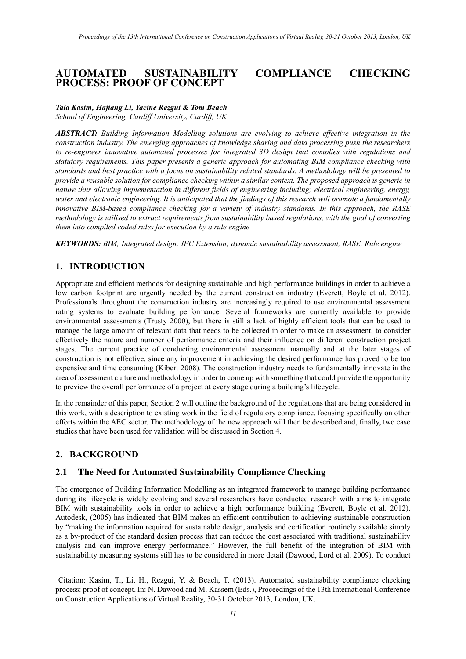## **AUTOMATED SUSTAINABILITY COMPLIANCE CHECKING PROCESS: PROOF OF CONCEPT**

#### *Tala Kasim, Hajiang Li, Yacine Rezgui & Tom Beach School of Engineering, Cardiff University, Cardiff, UK*

*ABSTRACT: Building Information Modelling solutions are evolving to achieve effective integration in the construction industry. The emerging approaches of knowledge sharing and data processing push the researchers to re-engineer innovative automated processes for integrated 3D design that complies with regulations and statutory requirements. This paper presents a generic approach for automating BIM compliance checking with standards and best practice with a focus on sustainability related standards. A methodology will be presented to provide a reusable solution for compliance checking within a similar context. The proposed approach is generic in nature thus allowing implementation in different fields of engineering including; electrical engineering, energy, water and electronic engineering. It is anticipated that the findings of this research will promote a fundamentally innovative BIM-based compliance checking for a variety of industry standards. In this approach, the RASE methodology is utilised to extract requirements from sustainability based regulations, with the goal of converting them into compiled coded rules for execution by a rule engine*

*KEYWORDS: BIM; Integrated design; IFC Extension; dynamic sustainability assessment, RASE, Rule engine* 

# **1. INTRODUCTION**

Appropriate and efficient methods for designing sustainable and high performance buildings in order to achieve a low carbon footprint are urgently needed by the current construction industry (Everett, Boyle et al. 2012). Professionals throughout the construction industry are increasingly required to use environmental assessment rating systems to evaluate building performance. Several frameworks are currently available to provide environmental assessments (Trusty 2000), but there is still a lack of highly efficient tools that can be used to manage the large amount of relevant data that needs to be collected in order to make an assessment; to consider effectively the nature and number of performance criteria and their influence on different construction project stages. The current practice of conducting environmental assessment manually and at the later stages of construction is not effective, since any improvement in achieving the desired performance has proved to be too expensive and time consuming (Kibert 2008). The construction industry needs to fundamentally innovate in the area of assessment culture and methodology in order to come up with something that could provide the opportunity to preview the overall performance of a project at every stage during a building's lifecycle.

In the remainder of this paper, Section 2 will outline the background of the regulations that are being considered in this work, with a description to existing work in the field of regulatory compliance, focusing specifically on other efforts within the AEC sector. The methodology of the new approach will then be described and, finally, two case studies that have been used for validation will be discussed in Section 4.

## **2. BACKGROUND**

-

## **2.1 The Need for Automated Sustainability Compliance Checking**

The emergence of Building Information Modelling as an integrated framework to manage building performance during its lifecycle is widely evolving and several researchers have conducted research with aims to integrate BIM with sustainability tools in order to achieve a high performance building (Everett, Boyle et al. 2012). Autodesk, (2005) has indicated that BIM makes an efficient contribution to achieving sustainable construction by "making the information required for sustainable design, analysis and certification routinely available simply as a by-product of the standard design process that can reduce the cost associated with traditional sustainability analysis and can improve energy performance." However, the full benefit of the integration of BIM with sustainability measuring systems still has to be considered in more detail (Dawood, Lord et al. 2009). To conduct

<span id="page-0-0"></span>Citation: Kasim, T., Li, H., Rezgui, Y. & Beach, T. (2013). Automated sustainability compliance checking process: proof of concept. In: N. Dawood and M. Kassem (Eds.), Proceedings of the 13th International Conference on Construction Applications of Virtual Reality, 30-31 October 2013, London, UK.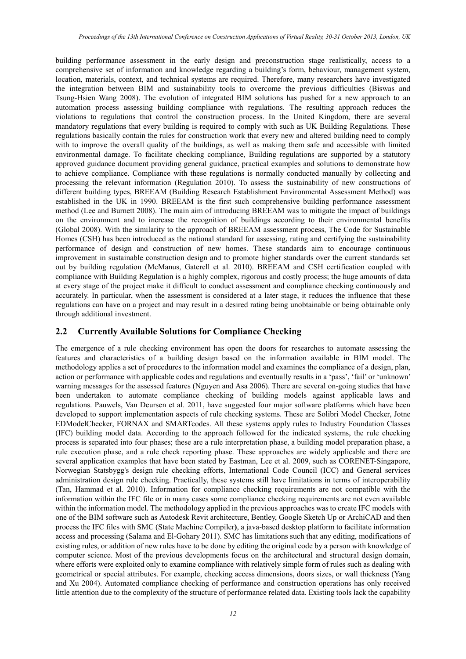building performance assessment in the early design and preconstruction stage realistically, access to a comprehensive set of information and knowledge regarding a building's form, behaviour, management system, location, materials, context, and technical systems are required. Therefore, many researchers have investigated the integration between BIM and sustainability tools to overcome the previous difficulties [\(Biswas and](#page-9-0)  [Tsung-Hsien Wang 2008\)](#page-9-0). The evolution of integrated BIM solutions has pushed for a new approach to an automation process assessing building compliance with regulations. The resulting approach reduces the violations to regulations that control the construction process. In the United Kingdom, there are several mandatory regulations that every building is required to comply with such as UK Building Regulations. These regulations basically contain the rules for construction work that every new and altered building need to comply with to improve the overall quality of the buildings, as well as making them safe and accessible with limited environmental damage. To facilitate checking compliance, Building regulations are supported by a statutory approved guidance document providing general guidance, practical examples and solutions to demonstrate how to achieve compliance. Compliance with these regulations is normally conducted manually by collecting and processing the relevant information (Regulation 2010). To assess the sustainability of new constructions of different building types, BREEAM (Building Research Establishment Environmental Assessment Method) was established in the UK in 1990. BREEAM is the first such comprehensive building performance assessment method (Lee and Burnett 2008). The main aim of introducing BREEAM was to mitigate the impact of buildings on the environment and to increase the recognition of buildings according to their environmental benefits (Global 2008). With the similarity to the approach of BREEAM assessment process, The Code for Sustainable Homes (CSH) has been introduced as the national standard for assessing, rating and certifying the sustainability performance of design and construction of new homes. These standards aim to encourage continuous improvement in sustainable construction design and to promote higher standards over the current standards set out by building regulation (McManus, Gaterell et al. 2010). BREEAM and CSH certification coupled with compliance with Building Regulation is a highly complex, rigorous and costly process; the huge amounts of data at every stage of the project make it difficult to conduct assessment and compliance checking continuously and accurately. In particular, when the assessment is considered at a later stage, it reduces the influence that these regulations can have on a project and may result in a desired rating being unobtainable or being obtainable only through additional investment.

#### **2.2 Currently Available Solutions for Compliance Checking**

The emergence of a rule checking environment has open the doors for researches to automate assessing the features and characteristics of a building design based on the information available in BIM model. The methodology applies a set of procedures to the information model and examines the compliance of a design, plan, action or performance with applicable codes and regulations and eventually results in a 'pass', 'fail' or 'unknown' warning messages for the assessed features (Nguyen and Asa 2006). There are several on-going studies that have been undertaken to automate compliance checking of building models against applicable laws and regulations. Pauwels, Van Deursen et al. 2011, have suggested four major software platforms which have been developed to support implementation aspects of rule checking systems. These are Solibri Model Checker, Jotne EDModelChecker, FORNAX and SMARTcodes. All these systems apply rules to Industry Foundation Classes (IFC) building model data. According to the approach followed for the indicated systems, the rule checking process is separated into four phases; these are a rule interpretation phase, a building model preparation phase, a rule execution phase, and a rule check reporting phase. These approaches are widely applicable and there are several application examples that have been stated by Eastman, Lee et al. 2009, such as CORENET-Singapore, Norwegian Statsbygg's design rule checking efforts, International Code Council (ICC) and General services administration design rule checking. Practically, these systems still have limitations in terms of interoperability (Tan, Hammad et al. 2010). Information for compliance checking requirements are not compatible with the information within the IFC file or in many cases some compliance checking requirements are not even available within the information model. The methodology applied in the previous approaches was to create IFC models with one of the BIM software such as Autodesk Revit architecture, Bentley, Google Sketch Up or ArchiCAD and then process the IFC files with SMC (State Machine Compiler**)**, a java-based desktop platform to facilitate information access and processing (Salama and El-Gohary 2011). SMC has limitations such that any editing, modifications of existing rules, or addition of new rules have to be done by editing the original code by a person with knowledge of computer science. Most of the previous developments focus on the architectural and structural design domain, where efforts were exploited only to examine compliance with relatively simple form of rules such as dealing with geometrical or special attributes. For example, checking access dimensions, doors sizes, or wall thickness (Yang and Xu 2004). Automated compliance checking of performance and construction operations has only received little attention due to the complexity of the structure of performance related data. Existing tools lack the capability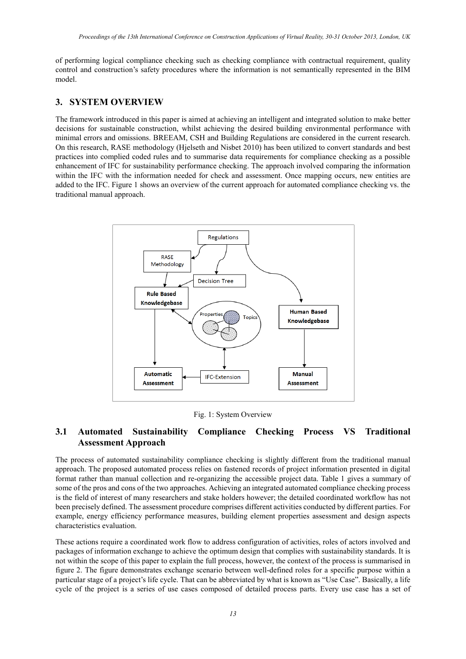of performing logical compliance checking such as checking compliance with contractual requirement, quality control and construction's safety procedures where the information is not semantically represented in the BIM model.

## **3. SYSTEM OVERVIEW**

The framework introduced in this paper is aimed at achieving an intelligent and integrated solution to make better decisions for sustainable construction, whilst achieving the desired building environmental performance with minimal errors and omissions. BREEAM, CSH and Building Regulations are considered in the current research. On this research, RASE methodology (Hjelseth and Nisbet 2010) has been utilized to convert standards and best practices into complied coded rules and to summarise data requirements for compliance checking as a possible enhancement of IFC for sustainability performance checking. The approach involved comparing the information within the IFC with the information needed for check and assessment. Once mapping occurs, new entities are added to the IFC. Figure 1 shows an overview of the current approach for automated compliance checking vs. the traditional manual approach.



Fig. 1: System Overview

# **3.1 Automated Sustainability Compliance Checking Process VS Traditional Assessment Approach**

The process of automated sustainability compliance checking is slightly different from the traditional manual approach. The proposed automated process relies on fastened records of project information presented in digital format rather than manual collection and re-organizing the accessible project data. Table 1 gives a summary of some of the pros and cons of the two approaches. Achieving an integrated automated compliance checking process is the field of interest of many researchers and stake holders however; the detailed coordinated workflow has not been precisely defined. The assessment procedure comprises different activities conducted by different parties. For example, energy efficiency performance measures, building element properties assessment and design aspects characteristics evaluation.

These actions require a coordinated work flow to address configuration of activities, roles of actors involved and packages of information exchange to achieve the optimum design that complies with sustainability standards. It is not within the scope of this paper to explain the full process, however, the context of the process is summarised in figure 2. The figure demonstrates exchange scenario between well-defined roles for a specific purpose within a particular stage of a project's life cycle. That can be abbreviated by what is known as "Use Case". Basically, a life cycle of the project is a series of use cases composed of detailed process parts. Every use case has a set of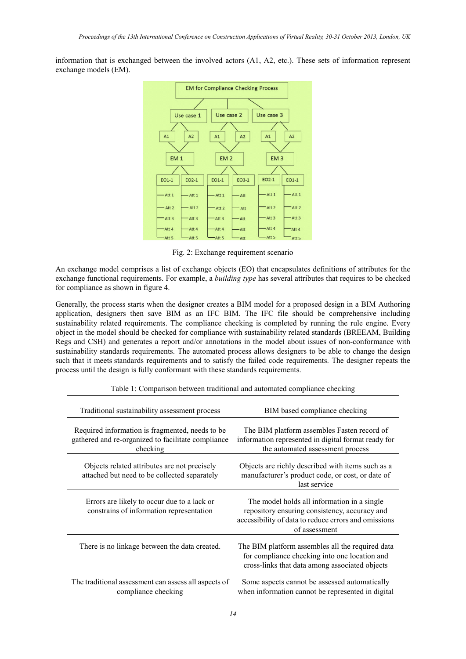information that is exchanged between the involved actors (A1, A2, etc.). These sets of information represent exchange models (EM).



Fig. 2: Exchange requirement scenario

An exchange model comprises a list of exchange objects (EO) that encapsulates definitions of attributes for the exchange functional requirements. For example, a *building type* has several attributes that requires to be checked for compliance as shown in figure 4.

Generally, the process starts when the designer creates a BIM model for a proposed design in a BIM Authoring application, designers then save BIM as an IFC BIM. The IFC file should be comprehensive including sustainability related requirements. The compliance checking is completed by running the rule engine. Every object in the model should be checked for compliance with sustainability related standards (BREEAM, Building Regs and CSH) and generates a report and/or annotations in the model about issues of non-conformance with sustainability standards requirements. The automated process allows designers to be able to change the design such that it meets standards requirements and to satisfy the failed code requirements. The designer repeats the process until the design is fully conformant with these standards requirements.

| Traditional sustainability assessment process                                                                      | BIM based compliance checking                                                                                                                                         |
|--------------------------------------------------------------------------------------------------------------------|-----------------------------------------------------------------------------------------------------------------------------------------------------------------------|
| Required information is fragmented, needs to be.<br>gathered and re-organized to facilitate compliance<br>checking | The BIM platform assembles Fasten record of<br>information represented in digital format ready for<br>the automated assessment process                                |
| Objects related attributes are not precisely<br>attached but need to be collected separately                       | Objects are richly described with items such as a<br>manufacturer's product code, or cost, or date of<br>last service                                                 |
| Errors are likely to occur due to a lack or<br>constrains of information representation                            | The model holds all information in a single<br>repository ensuring consistency, accuracy and<br>accessibility of data to reduce errors and omissions<br>of assessment |
| There is no linkage between the data created.                                                                      | The BIM platform assembles all the required data<br>for compliance checking into one location and<br>cross-links that data among associated objects                   |
| The traditional assessment can assess all aspects of<br>compliance checking                                        | Some aspects cannot be assessed automatically<br>when information cannot be represented in digital                                                                    |

Table 1: Comparison between traditional and automated compliance checking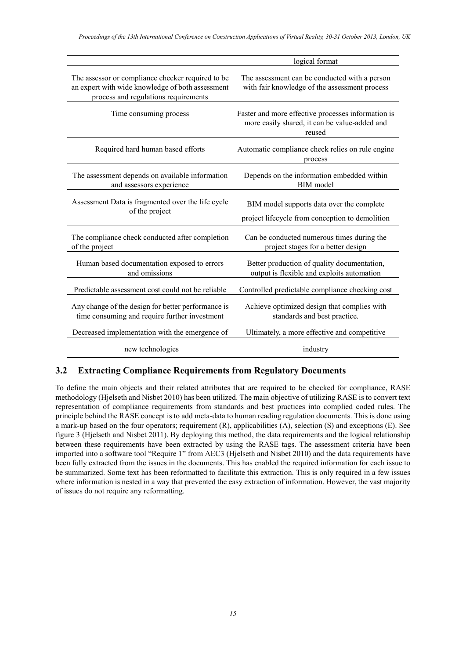|                                                                                                                                               | logical format                                                                                                |
|-----------------------------------------------------------------------------------------------------------------------------------------------|---------------------------------------------------------------------------------------------------------------|
| The assessor or compliance checker required to be<br>an expert with wide knowledge of both assessment<br>process and regulations requirements | The assessment can be conducted with a person<br>with fair knowledge of the assessment process                |
| Time consuming process                                                                                                                        | Faster and more effective processes information is<br>more easily shared, it can be value-added and<br>reused |
| Required hard human based efforts                                                                                                             | Automatic compliance check relies on rule engine<br>process                                                   |
| The assessment depends on available information<br>and assessors experience                                                                   | Depends on the information embedded within<br><b>BIM</b> model                                                |
| Assessment Data is fragmented over the life cycle<br>of the project                                                                           | BIM model supports data over the complete<br>project lifecycle from conception to demolition                  |
| The compliance check conducted after completion<br>of the project                                                                             | Can be conducted numerous times during the<br>project stages for a better design                              |
| Human based documentation exposed to errors<br>and omissions                                                                                  | Better production of quality documentation,<br>output is flexible and exploits automation                     |
| Predictable assessment cost could not be reliable                                                                                             | Controlled predictable compliance checking cost                                                               |
| Any change of the design for better performance is<br>time consuming and require further investment                                           | Achieve optimized design that complies with<br>standards and best practice.                                   |
| Decreased implementation with the emergence of                                                                                                | Ultimately, a more effective and competitive                                                                  |
| new technologies                                                                                                                              | industry                                                                                                      |

## **3.2 Extracting Compliance Requirements from Regulatory Documents**

To define the main objects and their related attributes that are required to be checked for compliance, RASE methodology (Hjelseth and Nisbet 2010) has been utilized. The main objective of utilizing RASE is to convert text representation of compliance requirements from standards and best practices into complied coded rules. The principle behind the RASE concept is to add meta-data to human reading regulation documents. This is done using a mark-up based on the four operators; requirement (R), applicabilities (A), selection (S) and exceptions (E). See figure 3 (Hjelseth and Nisbet 2011). By deploying this method, the data requirements and the logical relationship between these requirements have been extracted by using the RASE tags. The assessment criteria have been imported into a software tool "Require 1" from AEC3 (Hjelseth and Nisbet 2010) and the data requirements have been fully extracted from the issues in the documents. This has enabled the required information for each issue to be summarized. Some text has been reformatted to facilitate this extraction. This is only required in a few issues where information is nested in a way that prevented the easy extraction of information. However, the vast majority of issues do not require any reformatting.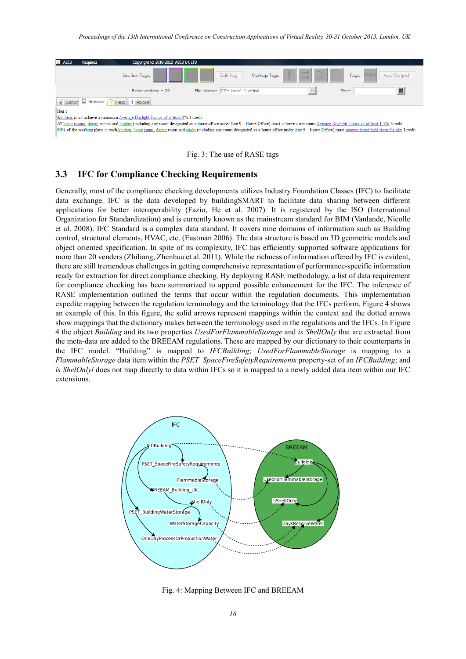

80% of the working plane in each kitchen, living room, dining room and study (including any room designated as a home office under Ene 9 Home Office) must receive direct light from the sky 1credit



#### **3.3 IFC for Compliance Checking Requirements**

Generally, most of the compliance checking developments utilizes Industry Foundation Classes (IFC) to facilitate data exchange. IFC is the data developed by buildingSMART to facilitate data sharing between different applications for better interoperability (Fazio, He et al. 2007). It is registered by the ISO (International Organization for Standardization) and is currently known as the mainstream standard for BIM (Vanlande, Nicolle et al. 2008). IFC Standard is a complex data standard. It covers nine domains of information such as Building control, structural elements, HVAC, etc. (Eastman 2006). The data structure is based on 3D geometric models and object oriented specification. In spite of its complexity, IFC has efficiently supported software applications for more than 20 venders (Zhiliang, Zhenhua et al. 2011). While the richness of information offered by IFC is evident, there are still tremendous challenges in getting comprehensive representation of performance-specific information ready for extraction for direct compliance checking. By deploying RASE methodology, a list of data requirement for compliance checking has been summarized to append possible enhancement for the IFC. The inference of RASE implementation outlined the terms that occur within the regulation documents. This implementation expedite mapping between the regulation terminology and the terminology that the IFCs perform. Figure 4 shows an example of this. In this figure, the solid arrows represent mappings within the context and the dotted arrows show mappings that the dictionary makes between the terminology used in the regulations and the IFCs. In Figure 4 the object *Building* and its two properties *UsedForFlammableStorage* and *is ShellOnly* that are extracted from the meta-data are added to the BREEAM regulations. These are mapped by our dictionary to their counterparts in the IFC model. "Building" is mapped to *IFCBuilding*; *UsedForFlammableStorage* is mapping to a *FlammableStorage* data item within the *PSET*\_*SpaceFireSafetyRequirements* property-set of an *IFCBuilding*; and *is ShelOnlyl* does not map directly to data within IFCs so it is mapped to a newly added data item within our IFC extensions.



Fig. 4: Mapping Between IFC and BREEAM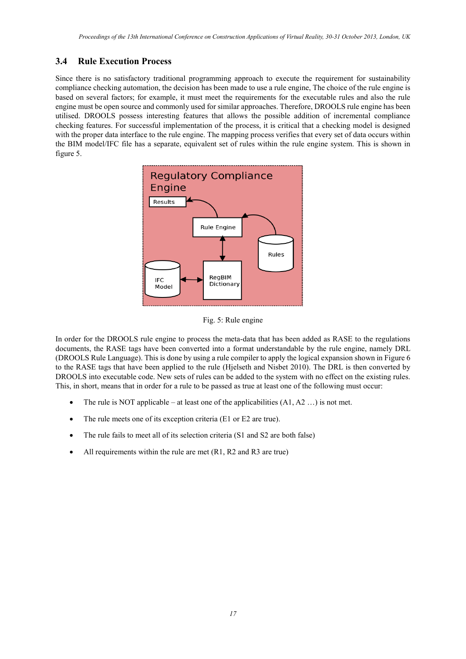# **3.4 Rule Execution Process**

Since there is no satisfactory traditional programming approach to execute the requirement for sustainability compliance checking automation, the decision has been made to use a rule engine, The choice of the rule engine is based on several factors; for example, it must meet the requirements for the executable rules and also the rule engine must be open source and commonly used for similar approaches. Therefore, DROOLS rule engine has been utilised. DROOLS possess interesting features that allows the possible addition of incremental compliance checking features. For successful implementation of the process, it is critical that a checking model is designed with the proper data interface to the rule engine. The mapping process verifies that every set of data occurs within the BIM model/IFC file has a separate, equivalent set of rules within the rule engine system. This is shown in figure 5.



Fig. 5: Rule engine

In order for the DROOLS rule engine to process the meta-data that has been added as RASE to the regulations documents, the RASE tags have been converted into a format understandable by the rule engine, namely DRL (DROOLS Rule Language). This is done by using a rule compiler to apply the logical expansion shown in Figure 6 to the RASE tags that have been applied to the rule (Hjelseth and Nisbet 2010). The DRL is then converted by DROOLS into executable code. New sets of rules can be added to the system with no effect on the existing rules. This, in short, means that in order for a rule to be passed as true at least one of the following must occur:

- The rule is NOT applicable at least one of the applicabilities  $(A1, A2 ...)$  is not met.
- The rule meets one of its exception criteria (E1 or E2 are true).
- The rule fails to meet all of its selection criteria (S1 and S2 are both false)
- All requirements within the rule are met (R1, R2 and R3 are true)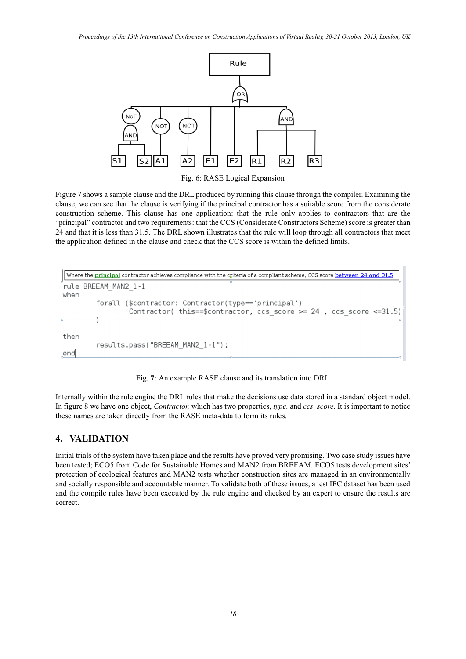

Fig. 6: RASE Logical Expansion

Figure 7 shows a sample clause and the DRL produced by running this clause through the compiler. Examining the clause, we can see that the clause is verifying if the principal contractor has a suitable score from the considerate construction scheme. This clause has one application: that the rule only applies to contractors that are the "principal" contractor and two requirements: that the CCS (Considerate Constructors Scheme) score is greater than 24 and that it is less than 31.5. The DRL shown illustrates that the rule will loop through all contractors that meet the application defined in the clause and check that the CCS score is within the defined limits.

```
Where the principal contractor achieves compliance with the criteria of a compliant scheme, CCS score between 24 and 31.5
rule BREEAM MAN2 1-1
when
         forall ($contractor: Contractor(type=='principal')
                   Contractor( this==$contractor, ccs score >= 24 , ccs score <= 31.5)
         \lambdathen
         results.pass("BREEAM MAN2 1-1");
end
```
Fig. **7**: An example RASE clause and its translation into DRL

Internally within the rule engine the DRL rules that make the decisions use data stored in a standard object model. In figure 8 we have one object, *Contractor,* which has two properties, *type,* and *ccs\_score.* It is important to notice these names are taken directly from the RASE meta-data to form its rules.

## **4. VALIDATION**

Initial trials of the system have taken place and the results have proved very promising. Two case study issues have been tested; ECO5 from Code for Sustainable Homes and MAN2 from BREEAM. ECO5 tests development sites' protection of ecological features and MAN2 tests whether construction sites are managed in an environmentally and socially responsible and accountable manner. To validate both of these issues, a test IFC dataset has been used and the compile rules have been executed by the rule engine and checked by an expert to ensure the results are correct.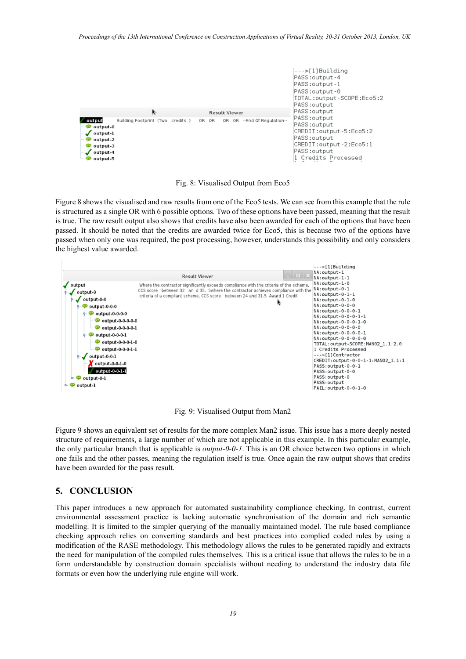

Fig. 8: Visualised Output from Eco5

Figure 8 shows the visualised and raw results from one of the Eco5 tests. We can see from this example that the rule is structured as a single OR with 6 possible options. Two of these options have been passed, meaning that the result is true. The raw result output also shows that credits have also been awarded for each of the options that have been passed. It should be noted that the credits are awarded twice for Eco5, this is because two of the options have passed when only one was required, the post processing, however, understands this possibility and only considers the highest value awarded.



Fig. 9: Visualised Output from Man2

Figure 9 shows an equivalent set of results for the more complex Man2 issue. This issue has a more deeply nested structure of requirements, a large number of which are not applicable in this example. In this particular example, the only particular branch that is applicable is *output-0-0-1*. This is an OR choice between two options in which one fails and the other passes, meaning the regulation itself is true. Once again the raw output shows that credits have been awarded for the pass result.

#### **5. CONCLUSION**

This paper introduces a new approach for automated sustainability compliance checking. In contrast, current environmental assessment practice is lacking automatic synchronisation of the domain and rich semantic modelling. It is limited to the simpler querying of the manually maintained model. The rule based compliance checking approach relies on converting standards and best practices into complied coded rules by using a modification of the RASE methodology. This methodology allows the rules to be generated rapidly and extracts the need for manipulation of the compiled rules themselves. This is a critical issue that allows the rules to be in a form understandable by construction domain specialists without needing to understand the industry data file formats or even how the underlying rule engine will work.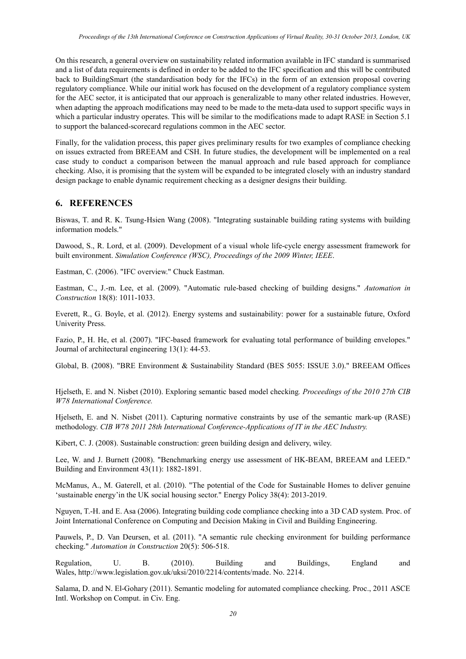On this research, a general overview on sustainability related information available in IFC standard is summarised and a list of data requirements is defined in order to be added to the IFC specification and this will be contributed back to BuildingSmart (the standardisation body for the IFCs) in the form of an extension proposal covering regulatory compliance. While our initial work has focused on the development of a regulatory compliance system for the AEC sector, it is anticipated that our approach is generalizable to many other related industries. However, when adapting the approach modifications may need to be made to the meta-data used to support specific ways in which a particular industry operates. This will be similar to the modifications made to adapt RASE in Section 5.1 to support the balanced-scorecard regulations common in the AEC sector.

Finally, for the validation process, this paper gives preliminary results for two examples of compliance checking on issues extracted from BREEAM and CSH. In future studies, the development will be implemented on a real case study to conduct a comparison between the manual approach and rule based approach for compliance checking. Also, it is promising that the system will be expanded to be integrated closely with an industry standard design package to enable dynamic requirement checking as a designer designs their building.

#### <span id="page-9-0"></span>**6. REFERENCES**

Biswas, T. and R. K. Tsung-Hsien Wang (2008). "Integrating sustainable building rating systems with building information models."

Dawood, S., R. Lord, et al. (2009). Development of a visual whole life-cycle energy assessment framework for built environment. *Simulation Conference (WSC), Proceedings of the 2009 Winter, IEEE*.

Eastman, C. (2006). "IFC overview." Chuck Eastman.

Eastman, C., J.-m. Lee, et al. (2009). "Automatic rule-based checking of building designs." *Automation in Construction* 18(8): 1011-1033.

Everett, R., G. Boyle, et al. (2012). Energy systems and sustainability: power for a sustainable future, Oxford Univerity Press.

Fazio, P., H. He, et al. (2007). "IFC-based framework for evaluating total performance of building envelopes." Journal of architectural engineering 13(1): 44-53.

Global, B. (2008). "BRE Environment & Sustainability Standard (BES 5055: ISSUE 3.0)." BREEAM Offices

Hjelseth, E. and N. Nisbet (2010). Exploring semantic based model checking*. Proceedings of the 2010 27th CIB W78 International Conference.*

Hjelseth, E. and N. Nisbet (2011). Capturing normative constraints by use of the semantic mark-up (RASE) methodology. *CIB W78 2011 28th International Conference-Applications of IT in the AEC Industry.*

Kibert, C. J. (2008). Sustainable construction: green building design and delivery, wiley.

Lee, W. and J. Burnett (2008). "Benchmarking energy use assessment of HK-BEAM, BREEAM and LEED." Building and Environment 43(11): 1882-1891.

McManus, A., M. Gaterell, et al. (2010). "The potential of the Code for Sustainable Homes to deliver genuine 'sustainable energy'in the UK social housing sector." Energy Policy 38(4): 2013-2019.

Nguyen, T.-H. and E. Asa (2006). Integrating building code compliance checking into a 3D CAD system. Proc. of Joint International Conference on Computing and Decision Making in Civil and Building Engineering.

Pauwels, P., D. Van Deursen, et al. (2011). "A semantic rule checking environment for building performance checking." *Automation in Construction* 20(5): 506-518.

Regulation, U. B. (2010). Building and Buildings, England and Wales, [http://www.legislation.gov.uk/uksi/2010/2214/contents/made.](http://www.legislation.gov.uk/uksi/2010/2214/contents/made) No. 2214.

Salama, D. and N. El-Gohary (2011). Semantic modeling for automated compliance checking. Proc., 2011 ASCE Intl. Workshop on Comput. in Civ. Eng.